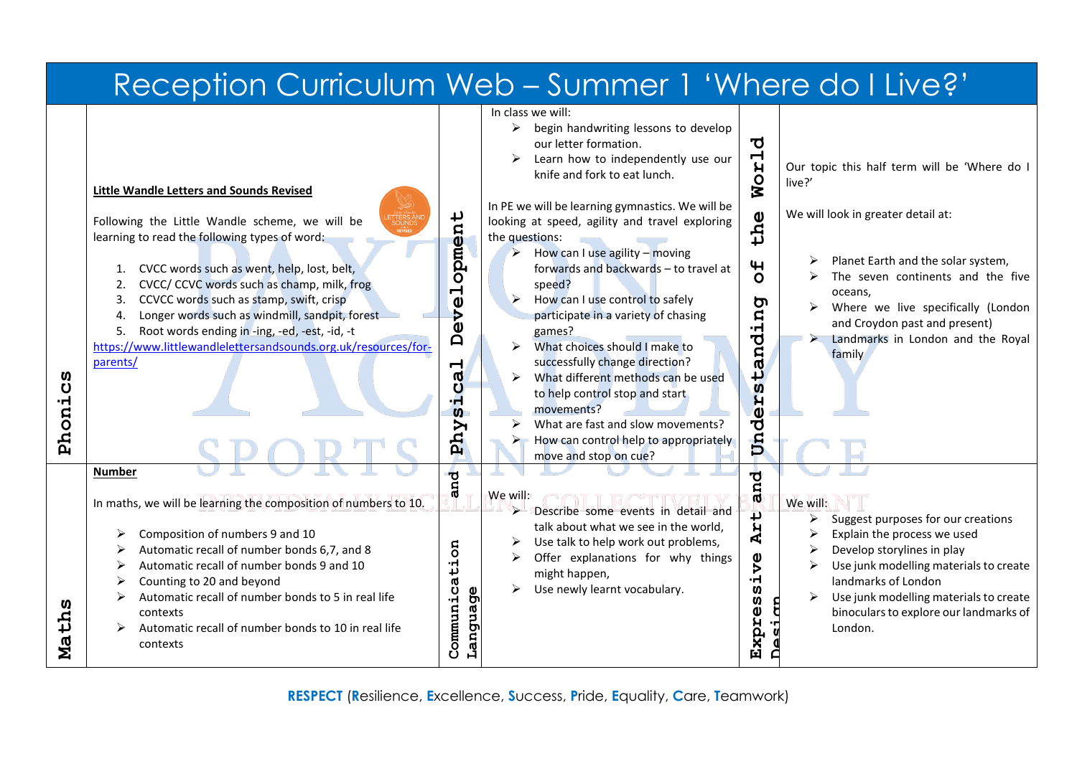|                                                    |                                                                                                                                                                                                                                                                                                                                                                                                                                                                                                                                                                                                                                                                                                                                                                                                                                                                                            |                                                                                                                                                                    | Reception Curriculum Web - Summer 1 'Where do I Live?'                                                                                                                                                                                                                                                                                                                                                                                                                                                                                                                                                                                                                                                                                                                                                                                                                                                                                                                                                                                                                                                                                                                                                                                                                                                                                                                                                                                                                                                                                                                                                                                                                                                                                                                                                                                                                                                   |
|----------------------------------------------------|--------------------------------------------------------------------------------------------------------------------------------------------------------------------------------------------------------------------------------------------------------------------------------------------------------------------------------------------------------------------------------------------------------------------------------------------------------------------------------------------------------------------------------------------------------------------------------------------------------------------------------------------------------------------------------------------------------------------------------------------------------------------------------------------------------------------------------------------------------------------------------------------|--------------------------------------------------------------------------------------------------------------------------------------------------------------------|----------------------------------------------------------------------------------------------------------------------------------------------------------------------------------------------------------------------------------------------------------------------------------------------------------------------------------------------------------------------------------------------------------------------------------------------------------------------------------------------------------------------------------------------------------------------------------------------------------------------------------------------------------------------------------------------------------------------------------------------------------------------------------------------------------------------------------------------------------------------------------------------------------------------------------------------------------------------------------------------------------------------------------------------------------------------------------------------------------------------------------------------------------------------------------------------------------------------------------------------------------------------------------------------------------------------------------------------------------------------------------------------------------------------------------------------------------------------------------------------------------------------------------------------------------------------------------------------------------------------------------------------------------------------------------------------------------------------------------------------------------------------------------------------------------------------------------------------------------------------------------------------------------|
| Ω<br>$\mathbf{U}$<br>٠H<br>Phon:<br>Ω<br>tp.<br>Иa | <b>Little Wandle Letters and Sounds Revised</b><br>Following the Little Wandle scheme, we will be<br>learning to read the following types of word:<br>1. CVCC words such as went, help, lost, belt,<br>CVCC/ CCVC words such as champ, milk, frog<br>2.<br>CCVCC words such as stamp, swift, crisp<br>3.<br>Longer words such as windmill, sandpit, forest<br>4.<br>Root words ending in -ing, -ed, -est, -id, -t<br>5.<br>https://www.littlewandlelettersandsounds.org.uk/resources/for-<br>parents/<br><b>Number</b><br>In maths, we will be learning the composition of numbers to 10.<br>Composition of numbers 9 and 10<br>Automatic recall of number bonds 6,7, and 8<br>Automatic recall of number bonds 9 and 10<br>Counting to 20 and beyond<br>Automatic recall of number bonds to 5 in real life<br>contexts<br>Automatic recall of number bonds to 10 in real life<br>contexts | opment<br>ᅥ<br>$\frac{\omega}{\nu}$<br>O<br>$\mathbf{D}$<br>ᆏ<br>ർ<br>Ü<br>H<br>$\boldsymbol{\omega}$<br>Aud<br>ಕ<br>an<br>ã<br>ι<br>ർ<br>Language<br>υ<br>Communi | In class we will:<br>begin handwriting lessons to develop<br>$\blacktriangleright$<br>ರ<br>our letter formation.<br>$\mathbf{r}$<br>Learn how to independently use our<br>Our topic this half term will be 'Where do I<br>knife and fork to eat lunch.<br><b>NO</b><br>live?'<br>In PE we will be learning gymnastics. We will be<br>We will look in greater detail at:<br>the<br>looking at speed, agility and travel exploring<br>the questions:<br>$\triangleright$ How can I use agility – moving<br>Planet Earth and the solar system,<br>$\mathbf{H}$<br>forwards and backwards - to travel at<br>The seven continents and the five<br>$\Omega$<br>speed?<br>oceans,<br>$\blacktriangleright$<br>How can I use control to safely<br>চ<br>Where we live specifically (London<br>andin<br>participate in a variety of chasing<br>and Croydon past and present)<br>games?<br>Landmarks in London and the Royal<br>What choices should I make to<br>➤<br>family<br>successfully change direction?<br>↵<br>$\blacktriangleright$<br>What different methods can be used<br>ທ<br>to help control stop and start<br>H<br>movements?<br>$\mathbf{v}$<br>Ō<br>What are fast and slow movements?<br>Ě<br>How can control help to appropriately<br>move and stop on cue?<br>and<br>We will:<br>We will:<br>$\triangleright$<br>Describe some events in detail and<br>$\overline{1}$<br>➤<br>Suggest purposes for our creations<br>talk about what we see in the world,<br>HA<br>Explain the process we used<br>Use talk to help work out problems,<br>Develop storylines in play<br>Offer explanations for why things<br>ive<br>Use junk modelling materials to create<br>might happen,<br>landmarks of London<br>$\blacktriangleright$<br>Use newly learnt vocabulary.<br>n<br>Use junk modelling materials to create<br>W)<br>$\mathbf{u}$<br>binoculars to explore our landmarks of<br>Ĥ<br>London.<br>Exp: |

**RESPECT** (**R**esilience, **E**xcellence, **S**uccess, **P**ride, **E**quality, **C**are, **T**eamwork)